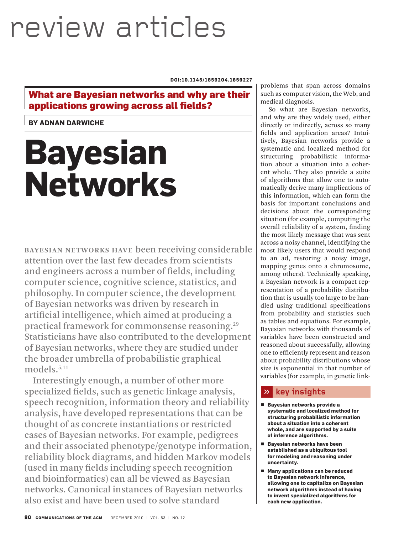## review articles

#### **doi:10.1145/1859204.1859227**

### What are Bayesian networks and why are their applications growing across all fields?

**by Adnan Darwiche**

# **Bayesian Networks**

**BAYESIAN NETWORKS HAVE been receiving considerable** attention over the last few decades from scientists and engineers across a number of fields, including computer science, cognitive science, statistics, and philosophy. In computer science, the development of Bayesian networks was driven by research in artificial intelligence, which aimed at producing a practical framework for commonsense reasoning.29 Statisticians have also contributed to the development of Bayesian networks, where they are studied under the broader umbrella of probabilistic graphical models.5,11

Interestingly enough, a number of other more specialized fields, such as genetic linkage analysis, speech recognition, information theory and reliability analysis, have developed representations that can be thought of as concrete instantiations or restricted cases of Bayesian networks. For example, pedigrees and their associated phenotype/genotype information, reliability block diagrams, and hidden Markov models (used in many fields including speech recognition and bioinformatics) can all be viewed as Bayesian networks. Canonical instances of Bayesian networks also exist and have been used to solve standard

problems that span across domains such as computer vision, the Web, and medical diagnosis.

So what are Bayesian networks, and why are they widely used, either directly or indirectly, across so many fields and application areas? Intuitively, Bayesian networks provide a systematic and localized method for structuring probabilistic information about a situation into a coherent whole. They also provide a suite of algorithms that allow one to automatically derive many implications of this information, which can form the basis for important conclusions and decisions about the corresponding situation (for example, computing the overall reliability of a system, finding the most likely message that was sent across a noisy channel, identifying the most likely users that would respond to an ad, restoring a noisy image, mapping genes onto a chromosome, among others). Technically speaking, a Bayesian network is a compact representation of a probability distribution that is usually too large to be handled using traditional specifications from probability and statistics such as tables and equations. For example, Bayesian networks with thousands of variables have been constructed and reasoned about successfully, allowing one to efficiently represent and reason about probability distributions whose size is exponential in that number of variables (for example, in genetic link-

#### **key insights**  $\gg$

- **Bayesian networks provide a systematic and localized method for structuring probabilistic information about a situation into a coherent whole, and are supported by a suite of inference algorithms.**
- **Bayesian networks have been established as a ubiquitous tool for modeling and reasoning under uncertainty.**
- **Many applications can be reduced to Bayesian network inference, allowing one to capitalize on Bayesian network algorithms instead of having to invent specialized algorithms for each new application.**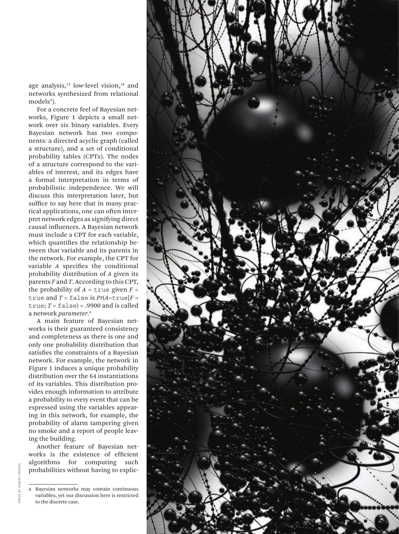age analysis,<sup>12</sup> low-level vision,<sup>34</sup> and networks synthesized from relational models 4 ).

For a concrete feel of Bayesian net works, Figure 1 depicts a small net work over six binary variables. Every Bayesian network has two compo nents: a directed acyclic graph (called a structure), and a set of conditional probability tables (CPTs). The nodes of a structure correspond to the vari ables of interest, and its edges have a formal interpretation in terms of probabilistic independence. We will discuss this interpretation later, but suffice to say here that in many prac tical applications, one can often inter pret network edges as signifying direct causal influences. A Bayesian network must include a CPT for each variable, which quantifies the relationship be tween that variable and its parents in the network. For example, the CPT for variable *A* specifies the conditional probability distribution of *A* given its parents *F* and *T*. According to this CPT, the probability of  $A = \text{true}$  given  $F =$ true and  $T =$  false is  $Pr(A = true | F =$ true;  $T = false$ ) = .9900 and is called a network *parameter* . a

A main feature of Bayesian net works is their guaranteed consistency and completeness as there is one and only one probability distribution that satisfies the constraints of a Bayesian network. For example, the network in Figure 1 induces a unique probability distribution over the 64 instantiations of its variables. This distribution pro vides enough information to attribute a probability to every event that can be expressed using the variables appear ing in this network, for example, the probability of alarm tampering given no smoke and a report of people leav ing the building.

Another feature of Bayesian net works is the existence of efficient algorithms for computing such probabilities without having to explic -

a Bayesian networks may contain continuous variables, yet our discussion here is restricted to the discrete case.

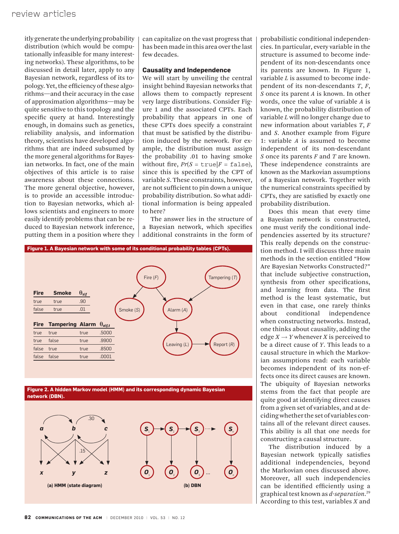itly generate the underlying probability distribution (which would be computationally infeasible for many interesting networks). These algorithms, to be discussed in detail later, apply to any Bayesian network, regardless of its topology. Yet, the efficiency of these algorithms—and their accuracy in the case of approximation algorithms—may be quite sensitive to this topology and the specific query at hand. Interestingly enough, in domains such as genetics, reliability analysis, and information theory, scientists have developed algorithms that are indeed subsumed by the more general algorithms for Bayesian networks. In fact, one of the main objectives of this article is to raise awareness about these connections. The more general objective, however, is to provide an accessible introduction to Bayesian networks, which allows scientists and engineers to more easily identify problems that can be reduced to Bayesian network inference, putting them in a position where they can capitalize on the vast progress that has been made in this area over the last few decades.

#### **Causality and Independence**

We will start by unveiling the central insight behind Bayesian networks that allows them to compactly represent very large distributions. Consider Figure 1 and the associated CPTs. Each probability that appears in one of these CPTs does specify a constraint that must be satisfied by the distribution induced by the network. For example, the distribution must assign the probability .01 to having smoke without fire,  $Pr(S = true | F = false)$ , since this is specified by the CPT of variable *S*. These constraints, however, are not sufficient to pin down a unique probability distribution. So what additional information is being appealed to here?

The answer lies in the structure of a Bayesian network, which specifies additional constraints in the form of



#### **Figure 2. A hidden Markov model (HMM) and its corresponding dynamic Bayesian network (DBN).**



probabilistic conditional independencies. In particular, every variable in the structure is assumed to become independent of its non-descendants once its parents are known. In Figure 1, variable *L* is assumed to become independent of its non-descendants *T*, *F*, *S* once its parent *A* is known. In other words, once the value of variable *A* is known, the probability distribution of variable *L* will no longer change due to new information about variables *T*, *F* and *S*. Another example from Figure 1: variable *A* is assumed to become independent of its non-descendant *S* once its parents *F* and *T* are known. These independence constraints are known as the Markovian assumptions of a Bayesian network. Together with the numerical constraints specified by CPTs, they are satisfied by exactly one probability distribution.

Does this mean that every time a Bayesian network is constructed, one must verify the conditional independencies asserted by its structure? This really depends on the construction method. I will discuss three main methods in the section entitled "How Are Bayesian Networks Constructed?" that include subjective construction, synthesis from other specifications, and learning from data. The first method is the least systematic, but even in that case, one rarely thinks about conditional independence when constructing networks. Instead, one thinks about causality, adding the edge  $X \rightarrow Y$  whenever *X* is perceived to be a direct cause of *Y*. This leads to a causal structure in which the Markovian assumptions read: each variable becomes independent of its non-effects once its direct causes are known. The ubiquity of Bayesian networks stems from the fact that people are quite good at identifying direct causes from a given set of variables, and at deciding whether the set of variables contains all of the relevant direct causes. This ability is all that one needs for constructing a causal structure.

The distribution induced by a Bayesian network typically satisfies additional independencies, beyond the Markovian ones discussed above. Moreover, all such independencies can be identified efficiently using a graphical test known as *d-separation*. 29 According to this test, variables *X* and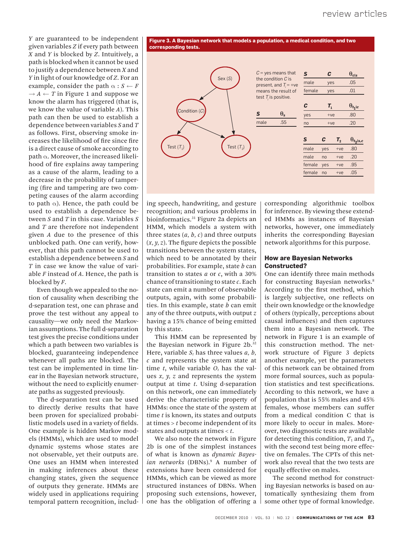*Y* are guaranteed to be independent given variables *Z* if every path between *X* and *Y* is blocked by *Z*. Intuitively, a path is blocked when it cannot be used to justify a dependence between *X* and *Y* in light of our knowledge of *Z*. For an example, consider the path  $\alpha$  :  $S \leftarrow F$  $\rightarrow$  *A*  $\leftarrow$  *T* in Figure 1 and suppose we know the alarm has triggered (that is, we know the value of variable *A*). This path can then be used to establish a dependence between variables *S* and *T* as follows. First, observing smoke increases the likelihood of fire since fire is a direct cause of smoke according to path  $\alpha$ . Moreover, the increased likelihood of fire explains away tampering as a cause of the alarm, leading to a decrease in the probability of tampering (fire and tampering are two competing causes of the alarm according to path  $\alpha$ ). Hence, the path could be used to establish a dependence between *S* and *T* in this case. Variables *S* and *T* are therefore not independent given *A* due to the presence of this unblocked path. One can verify, however, that this path cannot be used to establish a dependence between *S* and *T* in case we know the value of variable *F* instead of *A*. Hence, the path is blocked by *F*.

Even though we appealed to the notion of causality when describing the d-separation test, one can phrase and prove the test without any appeal to causality—we only need the Markovian assumptions. The full d-separation test gives the precise conditions under which a path between two variables is blocked, guaranteeing independence whenever all paths are blocked. The test can be implemented in time linear in the Bayesian network structure, without the need to explicitly enumerate paths as suggested previously.

The d-separation test can be used to directly derive results that have been proven for specialized probabilistic models used in a variety of fields. One example is hidden Markov models (HMMs), which are used to model dynamic systems whose states are not observable, yet their outputs are. One uses an HMM when interested in making inferences about these changing states, given the sequence of outputs they generate. HMMs are widely used in applications requiring temporal pattern recognition, includ-



ing speech, handwriting, and gesture recognition; and various problems in bioinformatics.31 Figure 2a depicts an HMM, which models a system with three states (*a, b, c*) and three outputs (*x, y, z*). The figure depicts the possible transitions between the system states, which need to be annotated by their probabilities. For example, state *b* can transition to states *a* or *c*, with a 30% chance of transitioning to state *c*. Each state can emit a number of observable outputs, again, with some probabilities. In this example, state *b* can emit any of the three outputs, with output *z* having a 15% chance of being emitted by this state.

This HMM can be represented by the Bayesian network in Figure 2b.32 Here, variable  $S_t$  has three values  $a, b$ , *c* and represents the system state at time *t*, while variable  $O_t$  has the values *x, y, z* and represents the system output at time *t*. Using d-separation on this network, one can immediately derive the characteristic property of HMMs: once the state of the system at time *t* is known, its states and outputs at times > *t* become independent of its states and outputs at times < *t*.

We also note the network in Figure 2b is one of the simplest instances of what is known as *dynamic Bayes*ian networks (DBNs).<sup>9</sup> A number of extensions have been considered for HMMs, which can be viewed as more structured instances of DBNs. When proposing such extensions, however, one has the obligation of offering a corresponding algorithmic toolbox for inference. By viewing these extended HMMs as instances of Bayesian networks, however, one immediately inherits the corresponding Bayesian network algorithms for this purpose.

#### **How are Bayesian Networks Constructed?**

One can identify three main methods for constructing Bayesian networks.<sup>8</sup> According to the first method, which is largely subjective, one reflects on their own knowledge or the knowledge of others (typically, perceptions about causal influences) and then captures them into a Bayesian network. The network in Figure 1 is an example of this construction method. The network structure of Figure 3 depicts another example, yet the parameters of this network can be obtained from more formal sources, such as population statistics and test specifications. According to this network, we have a population that is 55% males and 45% females, whose members can suffer from a medical condition C that is more likely to occur in males. Moreover, two diagnostic tests are available for detecting this condition,  $T_1$  and  $T_2$ , with the second test being more effective on females. The CPTs of this network also reveal that the two tests are equally effective on males.

The second method for constructing Bayesian networks is based on automatically synthesizing them from some other type of formal knowledge.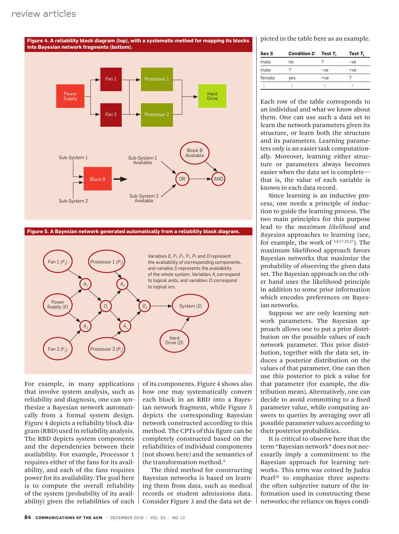

**Figure 5. A Bayesian network generated automatically from a reliability block diagram.** 



For example, in many applications that involve system analysis, such as reliability and diagnosis, one can synthesize a Bayesian network automatically from a formal system design. Figure 4 depicts a reliability block diagram (RBD) used in reliability analysis. The RBD depicts system components and the dependencies between their availability. For example, Processor 1 requires either of the fans for its availability, and each of the fans requires power for its availability. The goal here is to compute the overall reliability of the system (probability of its availability) given the reliabilities of each of its components. Figure 4 shows also how one may systematically convert each block in an RBD into a Bayesian network fragment, while Figure 5 depicts the corresponding Bayesian network constructed according to this method. The CPTs of this figure can be completely constructed based on the reliabilities of individual components (not shown here) and the semantics of the transformation method.<sup>8</sup>

The third method for constructing Bayesian networks is based on learning them from data, such as medical records or student admissions data. Consider Figure 3 and the data set depicted in the table here as an example.

| Sex S  | Condition C Test T. |       | Test $T2$ |
|--------|---------------------|-------|-----------|
| male   | no                  |       | $-ve$     |
| male   |                     | $-ve$ | $+ve$     |
| female | ves                 | $+ve$ |           |
|        |                     |       |           |

Each row of the table corresponds to an individual and what we know about them. One can use such a data set to learn the network parameters given its structure, or learn both the structure and its parameters. Learning parameters only is an easier task computationally. Moreover, learning either structure or parameters always becomes easier when the data set is complete that is, the value of each variable is known in each data record.

Since learning is an inductive process, one needs a principle of induction to guide the learning process. The two main principles for this purpose lead to the *maximum likelihood* and *Bayesian* approaches to learning (see, for example, the work of 5,8,17,22,27). The maximum likelihood approach favors Bayesian networks that maximize the probability of observing the given data set. The Bayesian approach on the other hand uses the likelihood principle in addition to some prior information which encodes preferences on Bayesian networks.

Suppose we are only learning network parameters. The Bayesian approach allows one to put a prior distribution on the possible values of each network parameter. This prior distribution, together with the data set, induces a posterior distribution on the values of that parameter. One can then use this posterior to pick a value for that parameter (for example, the distribution mean). Alternatively, one can decide to avoid committing to a fixed parameter value, while computing answers to queries by averaging over all possible parameter values according to their posterior probabilities.

It is critical to observe here that the term "Bayesian network" does not necessarily imply a commitment to the Bayesian approach for learning networks. This term was coined by Judea Pearl<sup>28</sup> to emphasize three aspects: the often subjective nature of the information used in constructing these networks; the reliance on Bayes condi-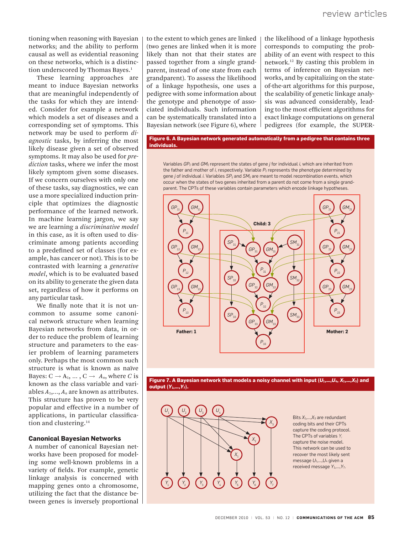tioning when reasoning with Bayesian networks; and the ability to perform causal as well as evidential reasoning on these networks, which is a distinction underscored by Thomas Bayes.<sup>1</sup>

These learning approaches are meant to induce Bayesian networks that are meaningful independently of the tasks for which they are intended. Consider for example a network which models a set of diseases and a corresponding set of symptoms. This network may be used to perform *diagnostic* tasks, by inferring the most likely disease given a set of observed symptoms. It may also be used for *prediction* tasks, where we infer the most likely symptom given some diseases. If we concern ourselves with only one of these tasks, say diagnostics, we can use a more specialized induction principle that optimizes the diagnostic performance of the learned network. In machine learning jargon, we say we are learning a *discriminative model*  in this case, as it is often used to discriminate among patients according to a predefined set of classes (for example, has cancer or not). This is to be contrasted with learning a *generative model*, which is to be evaluated based on its ability to generate the given data set, regardless of how it performs on any particular task.

We finally note that it is not uncommon to assume some canonical network structure when learning Bayesian networks from data, in order to reduce the problem of learning structure and parameters to the easier problem of learning parameters only. Perhaps the most common such structure is what is known as naïve Bayes:  $C \rightarrow A_1, ..., C \rightarrow A_n$ , where *C* is known as the class variable and variables *A*1,…, *An* are known as attributes. This structure has proven to be very popular and effective in a number of applications, in particular classification and clustering.<sup>14</sup>

#### **Canonical Bayesian Networks**

A number of canonical Bayesian networks have been proposed for modeling some well-known problems in a variety of fields. For example, genetic linkage analysis is concerned with mapping genes onto a chromosome, utilizing the fact that the distance between genes is inversely proportional

to the extent to which genes are linked (two genes are linked when it is more likely than not that their states are passed together from a single grandparent, instead of one state from each grandparent). To assess the likelihood of a linkage hypothesis, one uses a pedigree with some information about the genotype and phenotype of associated individuals. Such information can be systematically translated into a Bayesian network (see Figure 6), where the likelihood of a linkage hypothesis corresponds to computing the probability of an event with respect to this network.12 By casting this problem in terms of inference on Bayesian networks, and by capitalizing on the stateof-the-art algorithms for this purpose, the scalability of genetic linkage analysis was advanced considerably, leading to the most efficient algorithms for exact linkage computations on general pedigrees (for example, the SUPER-

**Figure 6. A Bayesian network generated automatically from a pedigree that contains three individuals.** 

Variables *GPij* and *GMij* represent the states of gene *j* for individual *i*, which are inherited from the father and mother of *i*, respectively. Variable *Pij* represents the phenotype determined by gene *j* of individual *i*. Variables *SPij* and *SMij* are meant to model recombination events, which occur when the states of two genes inherited from a parent do not come from a single grandparent. The CPTs of these variables contain parameters which encode linkage hypotheses.







Bits *X*1,…,*X*3 are redundant coding bits and their CPTs capture the coding protocol. The CPTs of variables *Yi* capture the noise model. This network can be used to recover the most likely sent message *U*1,…,*U*4 given a received message *Y*1,…,*Y*7.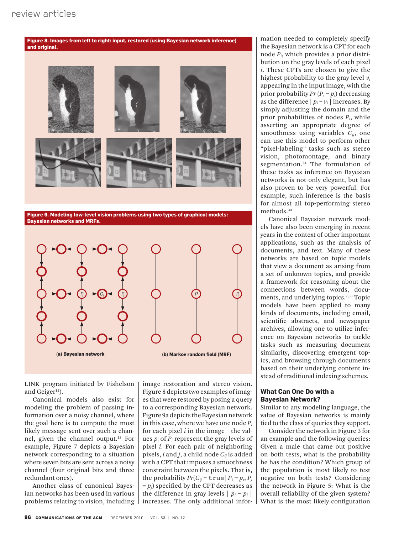

**Figure 9. Modeling low-level vision problems using two types of graphical models: Bayesian networks and MRFs.**





LINK program initiated by Fishelson and Geiger $12$ ).

Canonical models also exist for modeling the problem of passing information over a noisy channel, where the goal here is to compute the most likely message sent over such a channel, given the channel output.13 For example, Figure 7 depicts a Bayesian network corresponding to a situation where seven bits are sent across a noisy channel (four original bits and three redundant ones).

Another class of canonical Bayesian networks has been used in various problems relating to vision, including image restoration and stereo vision. Figure 8 depicts two examples of images that were restored by posing a query to a corresponding Bayesian network. Figure 9a depicts the Bayesian network in this case, where we have one node *Pi* for each pixel *i* in the image—the values *pi* of *Pi* represent the gray levels of pixel *i*. For each pair of neighboring pixels, *i* and *j*, a child node *Cij* is added with a CPT that imposes a smoothness constraint between the pixels. That is, the probability  $Pr(C_{ij} = \text{true} | P_i = p_i, P_j)$  $= p_i$ ) specified by the CPT decreases as the difference in gray levels  $| p_i - p_j |$ increases. The only additional information needed to completely specify the Bayesian network is a CPT for each node *Pi*, which provides a prior distribution on the gray levels of each pixel *i*. These CPTs are chosen to give the highest probability to the gray level *vi* appearing in the input image, with the prior probability  $Pr(P_i = p_i)$  decreasing as the difference  $| p_i - v_i |$  increases. By simply adjusting the domain and the prior probabilities of nodes *Pi*, while asserting an appropriate degree of smoothness using variables  $C_{ij}$ , one can use this model to perform other "pixel-labeling" tasks such as stereo vision, photomontage, and binary segmentation.34 The formulation of these tasks as inference on Bayesian networks is not only elegant, but has also proven to be very powerful. For example, such inference is the basis for almost all top-performing stereo methods.34

Canonical Bayesian network models have also been emerging in recent years in the context of other important applications, such as the analysis of documents, and text. Many of these networks are based on topic models that view a document as arising from a set of unknown topics, and provide a framework for reasoning about the connections between words, documents, and underlying topics.<sup>2,33</sup> Topic models have been applied to many kinds of documents, including email, scientific abstracts, and newspaper archives, allowing one to utilize inference on Bayesian networks to tackle tasks such as measuring document similarity, discovering emergent topics, and browsing through documents based on their underlying content instead of traditional indexing schemes.

#### **What Can One Do with a Bayesian Network?**

Similar to any modeling language, the value of Bayesian networks is mainly tied to the class of queries they support.

Consider the network in Figure 3 for an example and the following queries: Given a male that came out positive on both tests, what is the probability he has the condition? Which group of the population is most likely to test negative on both tests? Considering the network in Figure 5: What is the overall reliability of the given system? What is the most likely configuration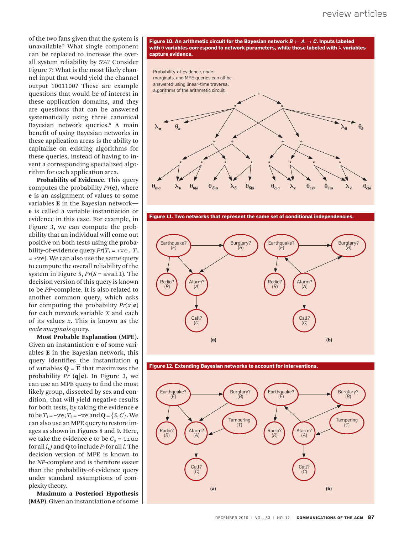of the two fans given that the system is unavailable? What single component can be replaced to increase the overall system reliability by 5%? Consider Figure 7: What is the most likely channel input that would yield the channel output 1001100? These are example questions that would be of interest in these application domains, and they are questions that can be answered systematically using three canonical Bayesian network queries.8 A main benefit of using Bayesian networks in these application areas is the ability to capitalize on existing algorithms for these queries, instead of having to invent a corresponding specialized algorithm for each application area.

Probability of Evidence. This query computes the probability *Pr*(e), where e is an assignment of values to some variables E in the Bayesian network e is called a variable instantiation or evidence in this case. For example, in Figure 3, we can compute the probability that an individual will come out positive on both tests using the probability-of-evidence query  $Pr(T_1 = +ve, T_2)$  $= +ve$ ). We can also use the same query to compute the overall reliability of the system in Figure 5, *Pr*(*S* = avail). The decision version of this query is known to be *PP*-complete. It is also related to another common query, which asks for computing the probability  $Pr(x|\mathbf{e})$ for each network variable *X* and each of its values *x*. This is known as the *node marginals* query.

Most Probable Explanation (MPE). Given an instantiation e of some variables E in the Bayesian network, this query identifies the instantiation q of variables  $Q = E$  that maximizes the probability *Pr* (q|e). In Figure 3, we can use an MPE query to find the most likely group, dissected by sex and condition, that will yield negative results for both tests, by taking the evidence e to be  $T_1 = -ve$ ;  $T_2 = -ve$  and  $Q = \{S, C\}$ . We can also use an MPE query to restore images as shown in Figures 8 and 9. Here, we take the evidence **e** to be  $C_{ij}$  = true for all *i*, *j* and Q to include *Pi* for all *i*. The decision version of MPE is known to be *NP*-complete and is therefore easier than the probability-of-evidence query under standard assumptions of complexity theory.

Maximum a Posteriori Hypothesis (MAP). Given an instantiation e of some



**Figure 10. An arithmetic circuit for the Bayesian network** *B* **←** *A* **→** *C***. Inputs labeled** 

**Figure 11. Two networks that represent the same set of conditional independencies.**





**Figure 12. Extending Bayesian networks to account for interventions.**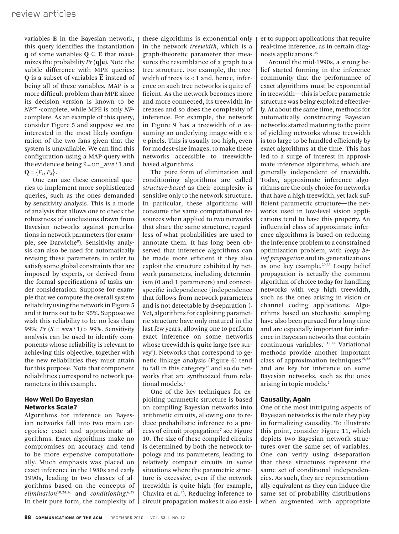variables E in the Bayesian network, this query identifies the instantiation **q** of some variables  $Q \subseteq \overline{E}$  that maximizes the probability *Pr* (q|e). Note the subtle difference with MPE queries: **Q** is a subset of variables  $\overline{E}$  instead of being all of these variables. MAP is a more difficult problem than MPE since its decision version is known to be *NPPP* -complete, while MPE is only *NP*complete. As an example of this query, consider Figure 5 and suppose we are interested in the most likely configuration of the two fans given that the system is unavailable. We can find this configuration using a MAP query with the evidence  $e$  being  $S =$ un avail and  ${\bf Q} = \{F_1, F_2\}.$ 

One can use these canonical queries to implement more sophisticated queries, such as the ones demanded by sensitivity analysis. This is a mode of analysis that allows one to check the robustness of conclusions drawn from Bayesian networks against perturbations in network parameters (for example, see Darwiche<sup>8</sup>). Sensitivity analysis can also be used for automatically revising these parameters in order to satisfy some global constraints that are imposed by experts, or derived from the formal specifications of tasks under consideration. Suppose for example that we compute the overall system reliability using the network in Figure 5 and it turns out to be 95%. Suppose we wish this reliability to be no less than 99%: *Pr* (*S* = avail) ≥ 99%. Sensitivity analysis can be used to identify components whose reliability is relevant to achieving this objective, together with the new reliabilities they must attain for this purpose. Note that component reliabilities correspond to network parameters in this example.

#### **How Well Do Bayesian Networks Scale?**

Algorithms for inference on Bayesian networks fall into two main categories: exact and approximate algorithms. Exact algorithms make no compromises on accuracy and tend to be more expensive computationally. Much emphasis was placed on exact inference in the 1980s and early 1990s, leading to two classes of algorithms based on the concepts of *elimination*10,24,36 and *conditioning*. 6,29 In their pure form, the complexity of these algorithms is exponential only in the network *treewidth*, which is a graph-theoretic parameter that measures the resemblance of a graph to a tree structure. For example, the treewidth of trees is  $\leq 1$  and, hence, inference on such tree networks is quite efficient. As the network becomes more and more connected, its treewidth increases and so does the complexity of inference. For example, the network in Figure 9 has a treewidth of *n* assuming an underlying image with  $n \times$ *n* pixels. This is usually too high, even for modest-size images, to make these networks accessible to treewidthbased algorithms.

The pure form of elimination and conditioning algorithms are called *structure-based* as their complexity is sensitive only to the network structure. In particular, these algorithms will consume the same computational resources when applied to two networks that share the same structure, regardless of what probabilities are used to annotate them. It has long been observed that inference algorithms can be made more efficient if they also exploit the structure exhibited by network parameters, including determinism (0 and 1 parameters) and contextspecific independence (independence that follows from network parameters and is not detectable by d-separation<sup>3</sup>). Yet, algorithms for exploiting parametric structure have only matured in the last few years, allowing one to perform exact inference on some networks whose treewidth is quite large (see survey<sup>8</sup>). Networks that correspond to genetic linkage analysis (Figure 6) tend to fall in this category<sup>12</sup> and so do networks that are synthesized from relational models.4

One of the key techniques for exploiting parametric structure is based on compiling Bayesian networks into arithmetic circuits, allowing one to reduce probabilistic inference to a process of circuit propagation;<sup>7</sup> see Figure 10. The size of these compiled circuits is determined by both the network topology and its parameters, leading to relatively compact circuits in some situations where the parametric structure is excessive, even if the network treewidth is quite high (for example, Chavira et al.<sup>4</sup>). Reducing inference to circuit propagation makes it also easier to support applications that require real-time inference, as in certain diagnosis applications.25

Around the mid-1990s, a strong belief started forming in the inference community that the performance of exact algorithms must be exponential in treewidth—this is before parametric structure was being exploited effectively. At about the same time, methods for automatically constructing Bayesian networks started maturing to the point of yielding networks whose treewidth is too large to be handled efficiently by exact algorithms at the time. This has led to a surge of interest in approximate inference algorithms, which are generally independent of treewidth. Today, approximate inference algorithms are the only choice for networks that have a high treewidth, yet lack sufficient parametric structure—the networks used in low-level vision applications tend to have this property. An influential class of approximate inference algorithms is based on reducing the inference problem to a constrained optimization problem, with *loopy belief propagation* and its generalizations as one key example.29,35 Loopy belief propagation is actually the common algorithm of choice today for handling networks with very high treewidth, such as the ones arising in vision or channel coding applications. Algorithms based on stochastic sampling have also been pursued for a long time and are especially important for inference in Bayesian networks that contain continuous variables.8,15,22 Variational methods provide another important class of approximation techniques $19,22$ and are key for inference on some Bayesian networks, such as the ones arising in topic models.2

#### **Causality, Again**

One of the most intriguing aspects of Bayesian networks is the role they play in formalizing causality. To illustrate this point, consider Figure 11, which depicts two Bayesian network structures over the same set of variables. One can verify using d-separation that these structures represent the same set of conditional independencies. As such, they are representationally equivalent as they can induce the same set of probability distributions when augmented with appropriate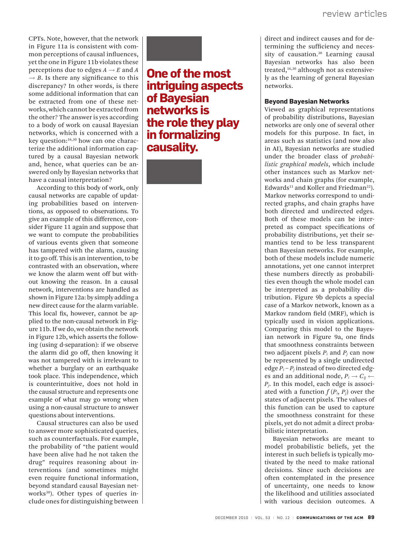CPTs. Note, however, that the network in Figure 11a is consistent with common perceptions of causal influences, yet the one in Figure 11b violates these perceptions due to edges  $A \rightarrow E$  and  $A$  $\rightarrow$  *B*. Is there any significance to this discrepancy? In other words, is there some additional information that can be extracted from one of these networks, which cannot be extracted from the other? The answer is yes according to a body of work on causal Bayesian networks, which is concerned with a key question: $16,30$  how can one characterize the additional information captured by a causal Bayesian network and, hence, what queries can be answered only by Bayesian networks that have a causal interpretation?

According to this body of work, only causal networks are capable of updating probabilities based on interventions, as opposed to observations. To give an example of this difference, consider Figure 11 again and suppose that we want to compute the probabilities of various events given that someone has tampered with the alarm, causing it to go off. This is an intervention, to be contrasted with an observation, where we know the alarm went off but without knowing the reason. In a causal network, interventions are handled as shown in Figure 12a: by simply adding a new direct cause for the alarm variable. This local fix, however, cannot be applied to the non-causal network in Figure 11b. If we do, we obtain the network in Figure 12b, which asserts the following (using d-separation): if we observe the alarm did go off, then knowing it was not tampered with is irrelevant to whether a burglary or an earthquake took place. This independence, which is counterintuitive, does not hold in the causal structure and represents one example of what may go wrong when using a non-causal structure to answer questions about interventions.

Causal structures can also be used to answer more sophisticated queries, such as counterfactuals. For example, the probability of "the patient would have been alive had he not taken the drug" requires reasoning about interventions (and sometimes might even require functional information, beyond standard causal Bayesian networks<sup>30</sup>). Other types of queries include ones for distinguishing between

## **One of the most intriguing aspects of Bayesian networks is the role they play in formalizing causality.**

direct and indirect causes and for determining the sufficiency and necessity of causation.30 Learning causal Bayesian networks has also been treated,<sup>16,30</sup> although not as extensively as the learning of general Bayesian networks.

#### **Beyond Bayesian Networks**

Viewed as graphical representations of probability distributions, Bayesian networks are only one of several other models for this purpose. In fact, in areas such as statistics (and now also in AI), Bayesian networks are studied under the broader class of *probabilistic graphical models*, which include other instances such as Markov networks and chain graphs (for example, Edwards<sup>11</sup> and Koller and Friedman<sup>22</sup>). Markov networks correspond to undirected graphs, and chain graphs have both directed and undirected edges. Both of these models can be interpreted as compact specifications of probability distributions, yet their semantics tend to be less transparent than Bayesian networks. For example, both of these models include numeric annotations, yet one cannot interpret these numbers directly as probabilities even though the whole model can be interpreted as a probability distribution. Figure 9b depicts a special case of a Markov network, known as a Markov random field (MRF), which is typically used in vision applications. Comparing this model to the Bayesian network in Figure 9a, one finds that smoothness constraints between two adjacent pixels  $P_i$  and  $P_j$  can now be represented by a single undirected edge *Pi* – *Pj* instead of two directed edges and an additional node,  $P_i \rightarrow C_{ii}$  ← *Pj*. In this model, each edge is associated with a function  $f(P_i, P_i)$  over the states of adjacent pixels. The values of this function can be used to capture the smoothness constraint for these pixels, yet do not admit a direct probabilistic interpretation.

Bayesian networks are meant to model probabilistic beliefs, yet the interest in such beliefs is typically motivated by the need to make rational decisions. Since such decisions are often contemplated in the presence of uncertainty, one needs to know the likelihood and utilities associated with various decision outcomes. A